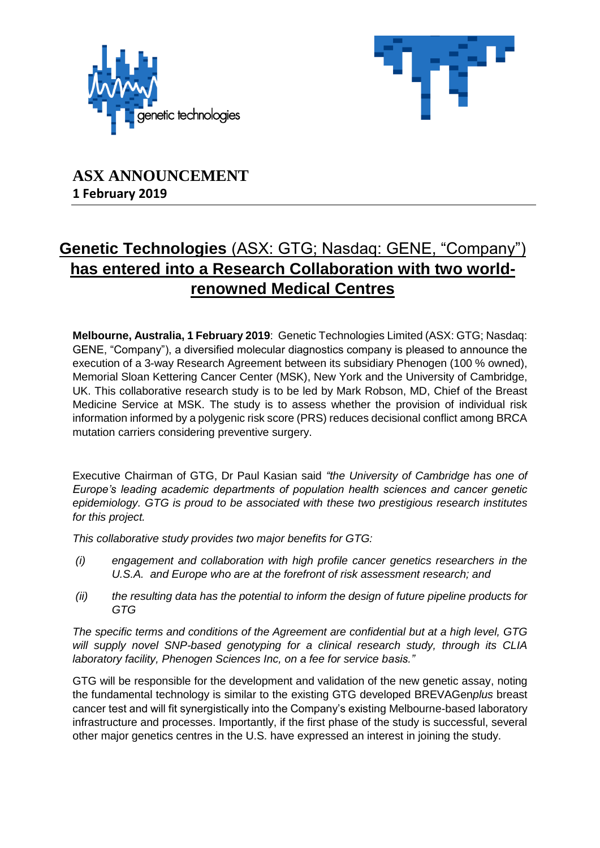



## **ASX ANNOUNCEMENT 1 February 2019**

# **Genetic Technologies** (ASX: GTG; Nasdaq: GENE, "Company") **has entered into a Research Collaboration with two worldrenowned Medical Centres**

**Melbourne, Australia, 1 February 2019**: Genetic Technologies Limited (ASX: GTG; Nasdaq: GENE, "Company"), a diversified molecular diagnostics company is pleased to announce the execution of a 3-way Research Agreement between its subsidiary Phenogen (100 % owned), Memorial Sloan Kettering Cancer Center (MSK), New York and the University of Cambridge, UK. This collaborative research study is to be led by Mark Robson, MD, Chief of the Breast Medicine Service at MSK. The study is to assess whether the provision of individual risk information informed by a polygenic risk score (PRS) reduces decisional conflict among BRCA mutation carriers considering preventive surgery.

Executive Chairman of GTG, Dr Paul Kasian said *"the University of Cambridge has one of Europe's leading academic departments of population health sciences and cancer genetic epidemiology. GTG is proud to be associated with these two prestigious research institutes for this project.*

*This collaborative study provides two major benefits for GTG:*

- *(i) engagement and collaboration with high profile cancer genetics researchers in the U.S.A. and Europe who are at the forefront of risk assessment research; and*
- *(ii) the resulting data has the potential to inform the design of future pipeline products for GTG*

*The specific terms and conditions of the Agreement are confidential but at a high level, GTG will supply novel SNP-based genotyping for a clinical research study, through its CLIA laboratory facility, Phenogen Sciences Inc, on a fee for service basis."*

GTG will be responsible for the development and validation of the new genetic assay, noting the fundamental technology is similar to the existing GTG developed BREVAGen*plus* breast cancer test and will fit synergistically into the Company's existing Melbourne-based laboratory infrastructure and processes. Importantly, if the first phase of the study is successful, several other major genetics centres in the U.S. have expressed an interest in joining the study.